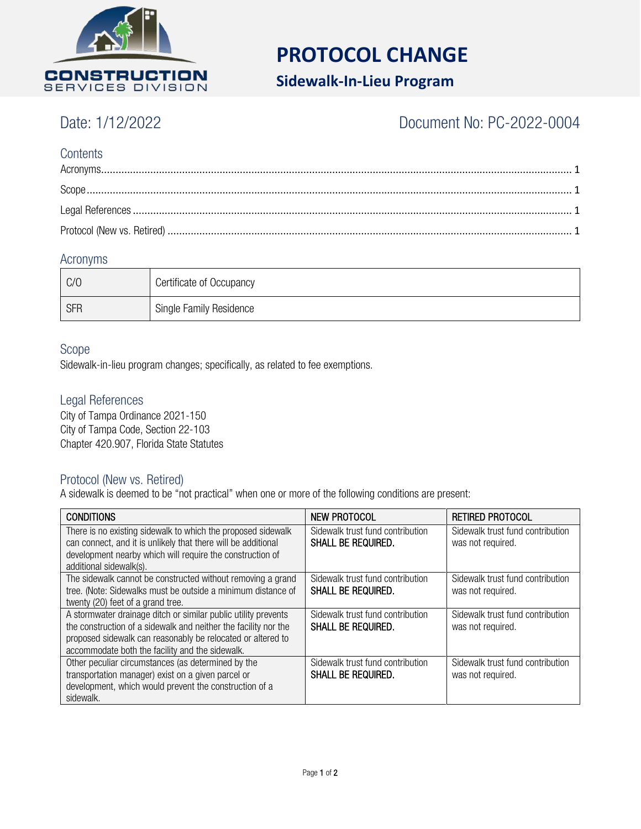

# **PROTOCOL CHANGE**

## **Sidewalk-In-Lieu Program**

## Date: 1/12/2022 Document No: PC-2022-0004

### **Contents**

#### <span id="page-0-0"></span>Acronyms

| C/O        | Certificate of Occupancy |
|------------|--------------------------|
| <b>SFR</b> | Single Family Residence  |

#### <span id="page-0-1"></span>Scope

Sidewalk-in-lieu program changes; specifically, as related to fee exemptions.

#### <span id="page-0-2"></span>Legal References

City of Tampa Ordinance 2021-150 City of Tampa Code, Section 22-103 Chapter 420.907, Florida State Statutes

#### <span id="page-0-3"></span>Protocol (New vs. Retired)

A sidewalk is deemed to be "not practical" when one or more of the following conditions are present:

| <b>CONDITIONS</b>                                                                                                                                                                                                                                   | NEW PROTOCOL                                                  | <b>RETIRED PROTOCOL</b>                               |
|-----------------------------------------------------------------------------------------------------------------------------------------------------------------------------------------------------------------------------------------------------|---------------------------------------------------------------|-------------------------------------------------------|
| There is no existing sidewalk to which the proposed sidewalk<br>can connect, and it is unlikely that there will be additional                                                                                                                       | Sidewalk trust fund contribution<br><b>SHALL BE REQUIRED.</b> | Sidewalk trust fund contribution<br>was not required. |
| development nearby which will require the construction of<br>additional sidewalk(s).                                                                                                                                                                |                                                               |                                                       |
| The sidewalk cannot be constructed without removing a grand<br>tree. (Note: Sidewalks must be outside a minimum distance of<br>twenty (20) feet of a grand tree.                                                                                    | Sidewalk trust fund contribution<br><b>SHALL BE REQUIRED.</b> | Sidewalk trust fund contribution<br>was not required. |
| A stormwater drainage ditch or similar public utility prevents<br>the construction of a sidewalk and neither the facility nor the<br>proposed sidewalk can reasonably be relocated or altered to<br>accommodate both the facility and the sidewalk. | Sidewalk trust fund contribution<br><b>SHALL BE REQUIRED.</b> | Sidewalk trust fund contribution<br>was not required. |
| Other peculiar circumstances (as determined by the<br>transportation manager) exist on a given parcel or<br>development, which would prevent the construction of a<br>sidewalk.                                                                     | Sidewalk trust fund contribution<br><b>SHALL BE REQUIRED.</b> | Sidewalk trust fund contribution<br>was not required. |